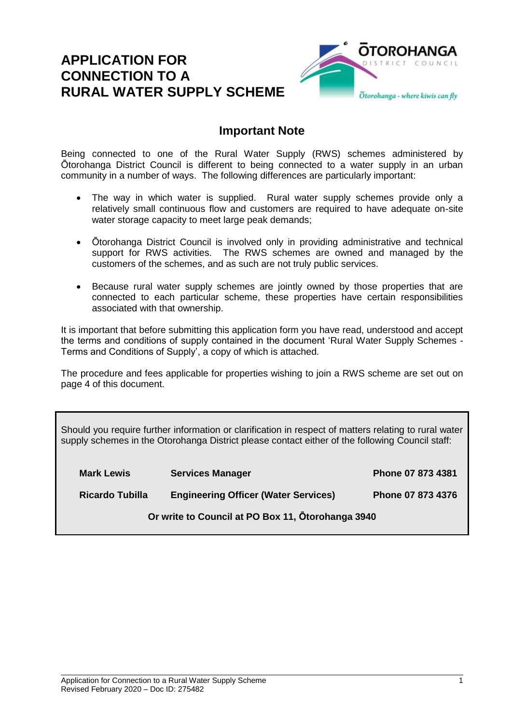### **APPLICATION FOR CONNECTION TO A RURAL WATER SUPPLY SCHEME**



#### **Important Note**

Being connected to one of the Rural Water Supply (RWS) schemes administered by Ōtorohanga District Council is different to being connected to a water supply in an urban community in a number of ways. The following differences are particularly important:

- The way in which water is supplied. Rural water supply schemes provide only a relatively small continuous flow and customers are required to have adequate on-site water storage capacity to meet large peak demands;
- Ōtorohanga District Council is involved only in providing administrative and technical support for RWS activities. The RWS schemes are owned and managed by the customers of the schemes, and as such are not truly public services.
- Because rural water supply schemes are jointly owned by those properties that are connected to each particular scheme, these properties have certain responsibilities associated with that ownership.

It is important that before submitting this application form you have read, understood and accept the terms and conditions of supply contained in the document 'Rural Water Supply Schemes - Terms and Conditions of Supply', a copy of which is attached.

The procedure and fees applicable for properties wishing to join a RWS scheme are set out on page 4 of this document.

Should you require further information or clarification in respect of matters relating to rural water supply schemes in the Otorohanga District please contact either of the following Council staff:

| <b>Mark Lewis</b>      | <b>Services Manager</b>                           | Phone 07 873 4381 |
|------------------------|---------------------------------------------------|-------------------|
| <b>Ricardo Tubilla</b> | <b>Engineering Officer (Water Services)</b>       | Phone 07 873 4376 |
|                        | Or write to Council at PO Box 11, Otorohanga 3940 |                   |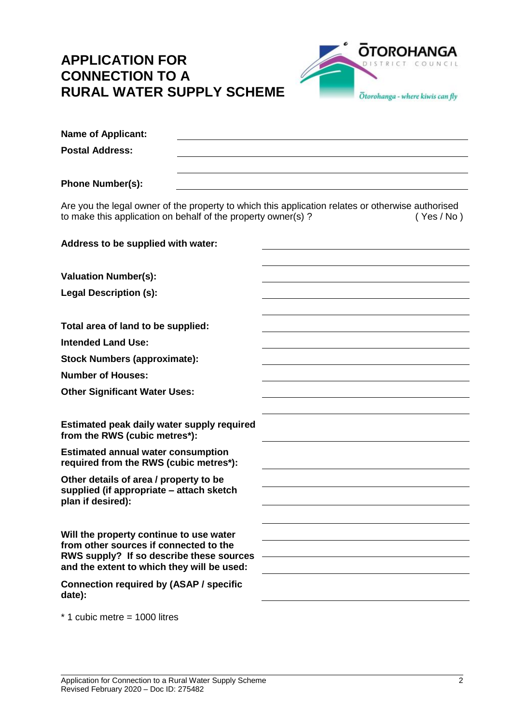# **APPLICATION FOR CONNECTION TO A RURAL WATER SUPPLY SCHEME**



| <b>Name of Applicant:</b>                                                                                                                                         |          |
|-------------------------------------------------------------------------------------------------------------------------------------------------------------------|----------|
| <b>Postal Address:</b>                                                                                                                                            |          |
|                                                                                                                                                                   |          |
| <b>Phone Number(s):</b>                                                                                                                                           |          |
| Are you the legal owner of the property to which this application relates or otherwise authorised<br>to make this application on behalf of the property owner(s)? | (Yes/No) |
| Address to be supplied with water:                                                                                                                                |          |
| <b>Valuation Number(s):</b>                                                                                                                                       |          |
| <b>Legal Description (s):</b>                                                                                                                                     |          |
|                                                                                                                                                                   |          |
| Total area of land to be supplied:                                                                                                                                |          |
| <b>Intended Land Use:</b>                                                                                                                                         |          |
| <b>Stock Numbers (approximate):</b>                                                                                                                               |          |
| <b>Number of Houses:</b>                                                                                                                                          |          |
| <b>Other Significant Water Uses:</b>                                                                                                                              |          |
|                                                                                                                                                                   |          |
| Estimated peak daily water supply required<br>from the RWS (cubic metres*):                                                                                       |          |
| <b>Estimated annual water consumption</b><br>required from the RWS (cubic metres*):                                                                               |          |
| Other details of area / property to be                                                                                                                            |          |
| supplied (if appropriate – attach sketch<br>plan if desired):                                                                                                     |          |
|                                                                                                                                                                   |          |
| Will the property continue to use water                                                                                                                           |          |
| from other sources if connected to the<br>RWS supply? If so describe these sources<br>and the extent to which they will be used:                                  |          |
| <b>Connection required by (ASAP / specific</b><br>date):                                                                                                          |          |
| $*$ 1 cubic metre = 1000 litres                                                                                                                                   |          |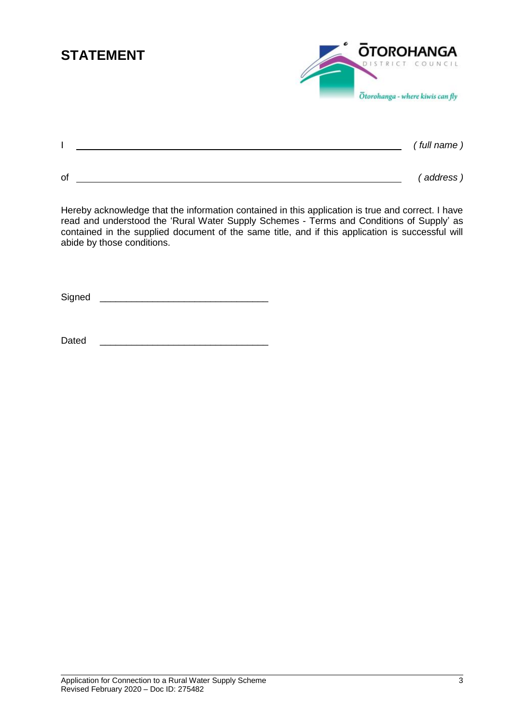# **STATEMENT**

| <b>OTOROHANGA</b>                |
|----------------------------------|
| DISTRICT COUNCIL                 |
| Otorohanga - where kiwis can fly |

|    |  | (full name) |
|----|--|-------------|
|    |  |             |
| Οf |  | (address)   |

Hereby acknowledge that the information contained in this application is true and correct. I have read and understood the 'Rural Water Supply Schemes - Terms and Conditions of Supply' as contained in the supplied document of the same title, and if this application is successful will abide by those conditions.

 $Signal$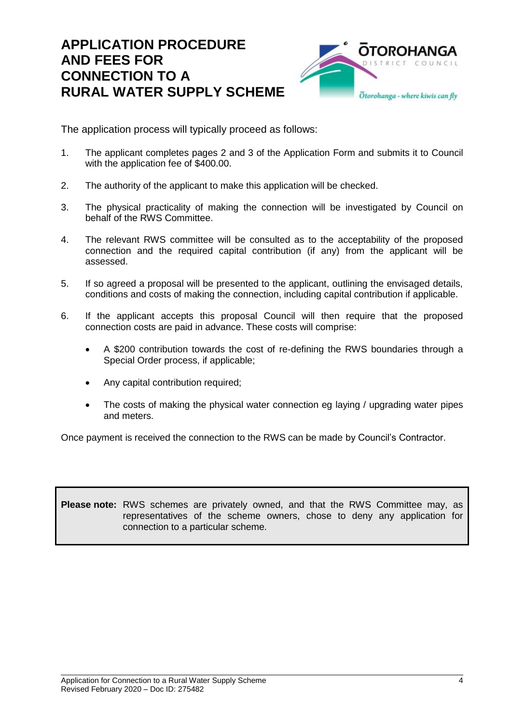### **APPLICATION PROCEDURE AND FEES FOR CONNECTION TO A RURAL WATER SUPPLY SCHEME**



The application process will typically proceed as follows:

- 1. The applicant completes pages 2 and 3 of the Application Form and submits it to Council with the application fee of \$400.00.
- 2. The authority of the applicant to make this application will be checked.
- 3. The physical practicality of making the connection will be investigated by Council on behalf of the RWS Committee.
- 4. The relevant RWS committee will be consulted as to the acceptability of the proposed connection and the required capital contribution (if any) from the applicant will be assessed.
- 5. If so agreed a proposal will be presented to the applicant, outlining the envisaged details, conditions and costs of making the connection, including capital contribution if applicable.
- 6. If the applicant accepts this proposal Council will then require that the proposed connection costs are paid in advance. These costs will comprise:
	- A \$200 contribution towards the cost of re-defining the RWS boundaries through a Special Order process, if applicable;
	- Any capital contribution required;
	- The costs of making the physical water connection eg laying / upgrading water pipes and meters.

Once payment is received the connection to the RWS can be made by Council's Contractor.

**Please note:** RWS schemes are privately owned, and that the RWS Committee may, as representatives of the scheme owners, chose to deny any application for connection to a particular scheme.